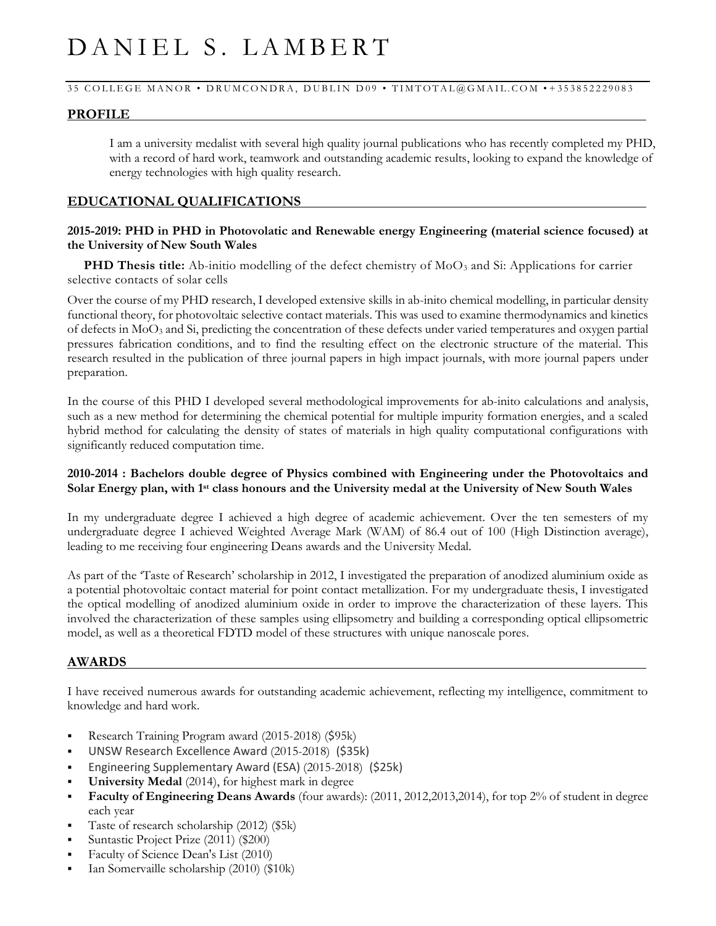# DANIEL S. LAMBERT

### 35 COLLEGE MANOR • DRUMCONDRA, DUBLIN D09 • TIMTOTAL@GMAIL.COM • + 353852229083

# **PROFILE**

I am a university medalist with several high quality journal publications who has recently completed my PHD, with a record of hard work, teamwork and outstanding academic results, looking to expand the knowledge of energy technologies with high quality research.

# **EDUCATIONAL QUALIFICATIONS**

# **2015-2019: PHD in PHD in Photovolatic and Renewable energy Engineering (material science focused) at the University of New South Wales**

**PHD Thesis title:** Ab-initio modelling of the defect chemistry of MoO<sub>3</sub> and Si: Applications for carrier selective contacts of solar cells

Over the course of my PHD research, I developed extensive skills in ab-inito chemical modelling, in particular density functional theory, for photovoltaic selective contact materials. This was used to examine thermodynamics and kinetics of defects in MoO<sup>3</sup> and Si, predicting the concentration of these defects under varied temperatures and oxygen partial pressures fabrication conditions, and to find the resulting effect on the electronic structure of the material. This research resulted in the publication of three journal papers in high impact journals, with more journal papers under preparation.

In the course of this PHD I developed several methodological improvements for ab-inito calculations and analysis, such as a new method for determining the chemical potential for multiple impurity formation energies, and a scaled hybrid method for calculating the density of states of materials in high quality computational configurations with significantly reduced computation time.

# **2010-2014 : Bachelors double degree of Physics combined with Engineering under the Photovoltaics and Solar Energy plan, with 1st class honours and the University medal at the University of New South Wales**

In my undergraduate degree I achieved a high degree of academic achievement. Over the ten semesters of my undergraduate degree I achieved Weighted Average Mark (WAM) of 86.4 out of 100 (High Distinction average), leading to me receiving four engineering Deans awards and the University Medal.

As part of the 'Taste of Research' scholarship in 2012, I investigated the preparation of anodized aluminium oxide as a potential photovoltaic contact material for point contact metallization. For my undergraduate thesis, I investigated the optical modelling of anodized aluminium oxide in order to improve the characterization of these layers. This involved the characterization of these samples using ellipsometry and building a corresponding optical ellipsometric model, as well as a theoretical FDTD model of these structures with unique nanoscale pores.

# **AWARDS**

I have received numerous awards for outstanding academic achievement, reflecting my intelligence, commitment to knowledge and hard work.

- Research Training Program award (2015-2018) (\$95k)
- UNSW Research Excellence Award (2015-2018) (\$35k)
- Engineering Supplementary Award (ESA) (2015-2018) (\$25k)
- **University Medal** (2014), for highest mark in degree
- Faculty of Engineering Deans Awards (four awards): (2011, 2012,2013,2014), for top 2% of student in degree each year
- Taste of research scholarship (2012) (\$5k)
- Suntastic Project Prize (2011) (\$200)
- Faculty of Science Dean's List (2010)
- Ian Somervaille scholarship (2010) (\$10k)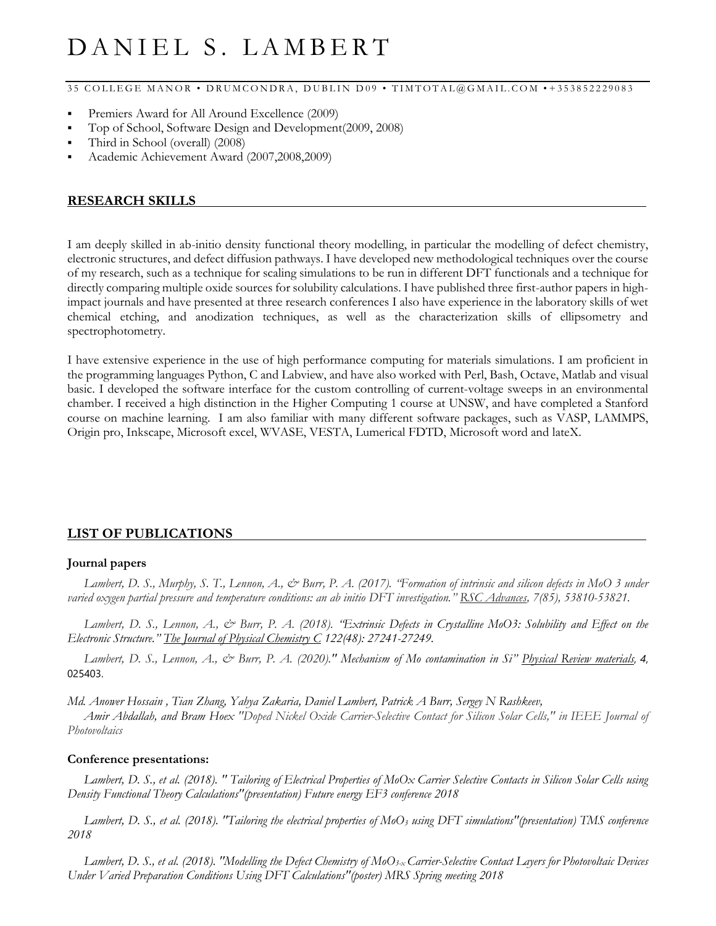# DANIEL S. LAMBERT

35 COLLEGE MANOR • DRUMCONDRA, DUBLIN D09 • TIMTOTAL@GMAIL.COM • + 353852229083

- Premiers Award for All Around Excellence (2009)
- Top of School, Software Design and Development(2009, 2008)
- Third in School (overall) (2008)
- Academic Achievement Award (2007,2008,2009)

## **RESEARCH SKILLS**

I am deeply skilled in ab-initio density functional theory modelling, in particular the modelling of defect chemistry, electronic structures, and defect diffusion pathways. I have developed new methodological techniques over the course of my research, such as a technique for scaling simulations to be run in different DFT functionals and a technique for directly comparing multiple oxide sources for solubility calculations. I have published three first-author papers in highimpact journals and have presented at three research conferences I also have experience in the laboratory skills of wet chemical etching, and anodization techniques, as well as the characterization skills of ellipsometry and spectrophotometry.

I have extensive experience in the use of high performance computing for materials simulations. I am proficient in the programming languages Python, C and Labview, and have also worked with Perl, Bash, Octave, Matlab and visual basic. I developed the software interface for the custom controlling of current-voltage sweeps in an environmental chamber. I received a high distinction in the Higher Computing 1 course at UNSW, and have completed a Stanford course on machine learning. I am also familiar with many different software packages, such as VASP, LAMMPS, Origin pro, Inkscape, Microsoft excel, WVASE, VESTA, Lumerical FDTD, Microsoft word and lateX.

# **LIST OF PUBLICATIONS**

### **Journal papers**

*Lambert, D. S., Murphy, S. T., Lennon, A., & Burr, P. A. (2017). "Formation of intrinsic and silicon defects in MoO 3 under varied oxygen partial pressure and temperature conditions: an ab initio DFT investigation." RSC Advances, 7(85), 53810-53821.*

*Lambert, D. S., Lennon, A., & Burr, P. A. (2018). "Extrinsic Defects in Crystalline MoO3: Solubility and Effect on the Electronic Structure." The Journal of Physical Chemistry C 122(48): 27241-27249.* 

*Lambert, D. S., Lennon, A., & Burr, P. A. (2020)." Mechanism of Mo contamination in Si" Physical Review materials*, *4*, 025403.

*Md. Anower Hossain , Tian Zhang, Yahya Zakaria, Daniel Lambert, Patrick A Burr, Sergey N Rashkeev,*

*Amir Abdallah, and Bram Hoex "Doped Nickel Oxide Carrier-Selective Contact for Silicon Solar Cells," in IEEE Journal of Photovoltaics*

#### **Conference presentations:**

*Lambert, D. S., et al. (2018). " Tailoring of Electrical Properties of MoOx Carrier Selective Contacts in Silicon Solar Cells using Density Functional Theory Calculations"(presentation) Future energy EF3 conference 2018*

*Lambert, D. S., et al. (2018). "Tailoring the electrical properties of MoO<sup>3</sup> using DFT simulations"(presentation) TMS conference 2018*

*Lambert, D. S., et al. (2018). "Modelling the Defect Chemistry of MoO3-x Carrier-Selective Contact Layers for Photovoltaic Devices Under Varied Preparation Conditions Using DFT Calculations"(poster) MRS Spring meeting 2018*